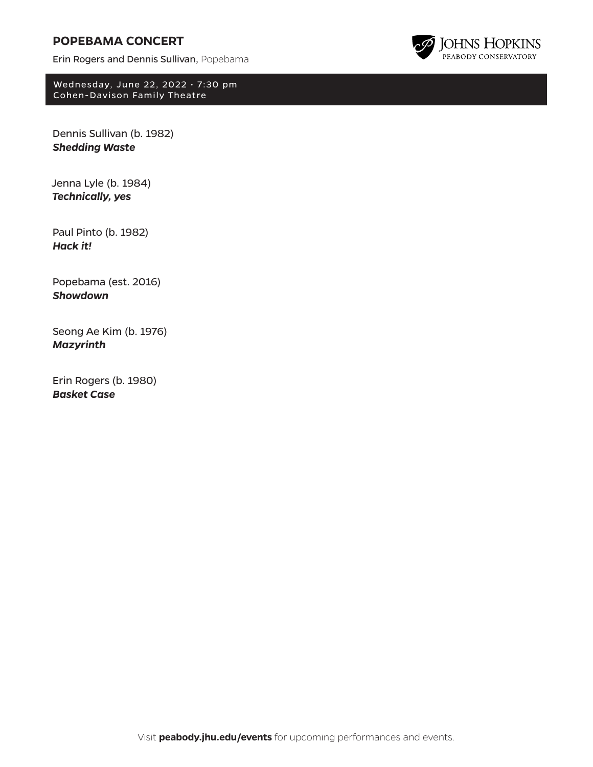# **POPEBAMA CONCERT**

Erin Rogers and Dennis Sullivan, Popebama



Wednesday, June 22, 2022 • 7:30 pm Cohen-Davison Family Theatre

Dennis Sullivan (b. 1982) *Shedding Waste*

Jenna Lyle (b. 1984) *Technically, yes*

Paul Pinto (b. 1982) *Hack it!*

Popebama (est. 2016) *Showdown*

Seong Ae Kim (b. 1976) *Mazyrinth*

Erin Rogers (b. 1980) *Basket Case*